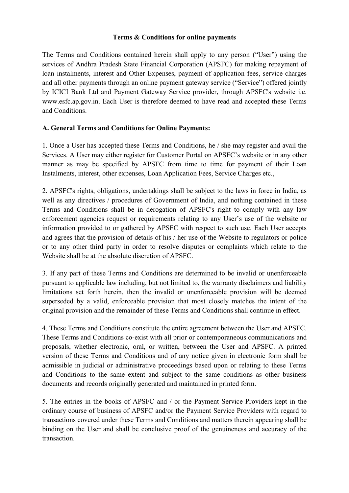#### Terms & Conditions for online payments

The Terms and Conditions contained herein shall apply to any person ("User") using the services of Andhra Pradesh State Financial Corporation (APSFC) for making repayment of loan instalments, interest and Other Expenses, payment of application fees, service charges and all other payments through an online payment gateway service ("Service") offered jointly by ICICI Bank Ltd and Payment Gateway Service provider, through APSFC's website i.e. www.esfc.ap.gov.in. Each User is therefore deemed to have read and accepted these Terms and Conditions.

## A. General Terms and Conditions for Online Payments:

1. Once a User has accepted these Terms and Conditions, he / she may register and avail the Services. A User may either register for Customer Portal on APSFC's website or in any other manner as may be specified by APSFC from time to time for payment of their Loan Instalments, interest, other expenses, Loan Application Fees, Service Charges etc.,

2. APSFC's rights, obligations, undertakings shall be subject to the laws in force in India, as well as any directives / procedures of Government of India, and nothing contained in these Terms and Conditions shall be in derogation of APSFC's right to comply with any law enforcement agencies request or requirements relating to any User's use of the website or information provided to or gathered by APSFC with respect to such use. Each User accepts and agrees that the provision of details of his / her use of the Website to regulators or police or to any other third party in order to resolve disputes or complaints which relate to the Website shall be at the absolute discretion of APSFC.

3. If any part of these Terms and Conditions are determined to be invalid or unenforceable pursuant to applicable law including, but not limited to, the warranty disclaimers and liability limitations set forth herein, then the invalid or unenforceable provision will be deemed superseded by a valid, enforceable provision that most closely matches the intent of the original provision and the remainder of these Terms and Conditions shall continue in effect.

4. These Terms and Conditions constitute the entire agreement between the User and APSFC. These Terms and Conditions co-exist with all prior or contemporaneous communications and proposals, whether electronic, oral, or written, between the User and APSFC. A printed version of these Terms and Conditions and of any notice given in electronic form shall be admissible in judicial or administrative proceedings based upon or relating to these Terms and Conditions to the same extent and subject to the same conditions as other business documents and records originally generated and maintained in printed form.

5. The entries in the books of APSFC and / or the Payment Service Providers kept in the ordinary course of business of APSFC and/or the Payment Service Providers with regard to transactions covered under these Terms and Conditions and matters therein appearing shall be binding on the User and shall be conclusive proof of the genuineness and accuracy of the transaction.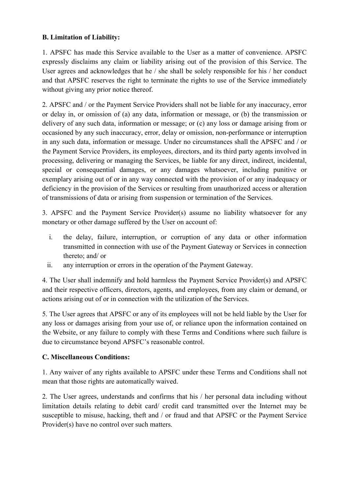## B. Limitation of Liability:

1. APSFC has made this Service available to the User as a matter of convenience. APSFC expressly disclaims any claim or liability arising out of the provision of this Service. The User agrees and acknowledges that he / she shall be solely responsible for his / her conduct and that APSFC reserves the right to terminate the rights to use of the Service immediately without giving any prior notice thereof.

2. APSFC and / or the Payment Service Providers shall not be liable for any inaccuracy, error or delay in, or omission of (a) any data, information or message, or (b) the transmission or delivery of any such data, information or message; or (c) any loss or damage arising from or occasioned by any such inaccuracy, error, delay or omission, non-performance or interruption in any such data, information or message. Under no circumstances shall the APSFC and / or the Payment Service Providers, its employees, directors, and its third party agents involved in processing, delivering or managing the Services, be liable for any direct, indirect, incidental, special or consequential damages, or any damages whatsoever, including punitive or exemplary arising out of or in any way connected with the provision of or any inadequacy or deficiency in the provision of the Services or resulting from unauthorized access or alteration of transmissions of data or arising from suspension or termination of the Services.

3. APSFC and the Payment Service Provider(s) assume no liability whatsoever for any monetary or other damage suffered by the User on account of:

- i. the delay, failure, interruption, or corruption of any data or other information transmitted in connection with use of the Payment Gateway or Services in connection thereto; and/ or
- ii. any interruption or errors in the operation of the Payment Gateway.

4. The User shall indemnify and hold harmless the Payment Service Provider(s) and APSFC and their respective officers, directors, agents, and employees, from any claim or demand, or actions arising out of or in connection with the utilization of the Services.

5. The User agrees that APSFC or any of its employees will not be held liable by the User for any loss or damages arising from your use of, or reliance upon the information contained on the Website, or any failure to comply with these Terms and Conditions where such failure is due to circumstance beyond APSFC's reasonable control.

### C. Miscellaneous Conditions:

1. Any waiver of any rights available to APSFC under these Terms and Conditions shall not mean that those rights are automatically waived.

2. The User agrees, understands and confirms that his / her personal data including without limitation details relating to debit card/ credit card transmitted over the Internet may be susceptible to misuse, hacking, theft and / or fraud and that APSFC or the Payment Service Provider(s) have no control over such matters.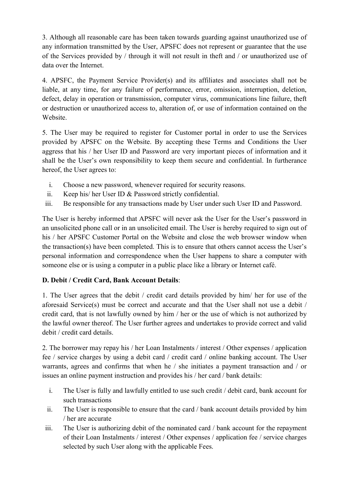3. Although all reasonable care has been taken towards guarding against unauthorized use of any information transmitted by the User, APSFC does not represent or guarantee that the use of the Services provided by / through it will not result in theft and / or unauthorized use of data over the Internet.

4. APSFC, the Payment Service Provider(s) and its affiliates and associates shall not be liable, at any time, for any failure of performance, error, omission, interruption, deletion, defect, delay in operation or transmission, computer virus, communications line failure, theft or destruction or unauthorized access to, alteration of, or use of information contained on the Website.

5. The User may be required to register for Customer portal in order to use the Services provided by APSFC on the Website. By accepting these Terms and Conditions the User aggress that his / her User ID and Password are very important pieces of information and it shall be the User's own responsibility to keep them secure and confidential. In furtherance hereof, the User agrees to:

- i. Choose a new password, whenever required for security reasons.
- ii. Keep his/ her User ID & Password strictly confidential.
- iii. Be responsible for any transactions made by User under such User ID and Password.

The User is hereby informed that APSFC will never ask the User for the User's password in an unsolicited phone call or in an unsolicited email. The User is hereby required to sign out of his / her APSFC Customer Portal on the Website and close the web browser window when the transaction(s) have been completed. This is to ensure that others cannot access the User's personal information and correspondence when the User happens to share a computer with someone else or is using a computer in a public place like a library or Internet café.

# D. Debit / Credit Card, Bank Account Details:

1. The User agrees that the debit / credit card details provided by him/ her for use of the aforesaid Service(s) must be correct and accurate and that the User shall not use a debit / credit card, that is not lawfully owned by him / her or the use of which is not authorized by the lawful owner thereof. The User further agrees and undertakes to provide correct and valid debit / credit card details.

2. The borrower may repay his / her Loan Instalments / interest / Other expenses / application fee / service charges by using a debit card / credit card / online banking account. The User warrants, agrees and confirms that when he / she initiates a payment transaction and / or issues an online payment instruction and provides his / her card / bank details:

- i. The User is fully and lawfully entitled to use such credit / debit card, bank account for such transactions
- ii. The User is responsible to ensure that the card / bank account details provided by him / her are accurate
- iii. The User is authorizing debit of the nominated card / bank account for the repayment of their Loan Instalments / interest / Other expenses / application fee / service charges selected by such User along with the applicable Fees.